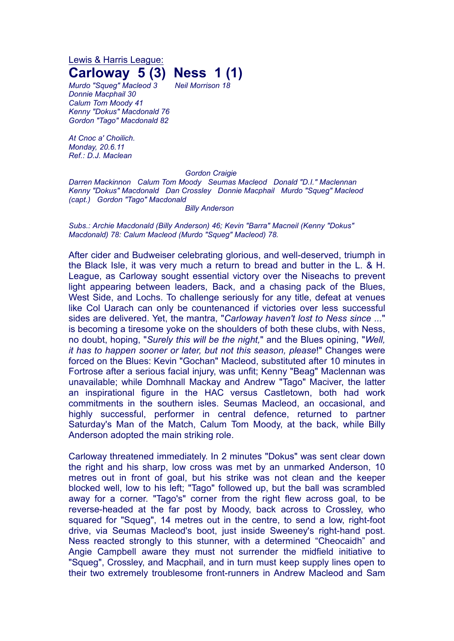Lewis & Harris League:

## **Carloway 5 (3) Ness 1 (1)**

*Murdo "Squeg" Macleod 3 Neil Morrison 18 Donnie Macphail 30 Calum Tom Moody 41 Kenny "Dokus" Macdonald 76 Gordon "Tago" Macdonald 82*

*At Cnoc a' Choilich. Monday, 20.6.11 Ref.: D.J. Maclean*

## *Gordon Craigie*

*Darren Mackinnon Calum Tom Moody Seumas Macleod Donald "D.I." Maclennan Kenny "Dokus" Macdonald Dan Crossley Donnie Macphail Murdo "Squeg" Macleod (capt.) Gordon "Tago" Macdonald*

*Billy Anderson*

*Subs.: Archie Macdonald (Billy Anderson) 46; Kevin "Barra" Macneil (Kenny "Dokus" Macdonald) 78: Calum Macleod (Murdo "Squeg" Macleod) 78.*

After cider and Budweiser celebrating glorious, and well-deserved, triumph in the Black Isle, it was very much a return to bread and butter in the L. & H. League, as Carloway sought essential victory over the Niseachs to prevent light appearing between leaders, Back, and a chasing pack of the Blues, West Side, and Lochs. To challenge seriously for any title, defeat at venues like Col Uarach can only be countenanced if victories over less successful sides are delivered. Yet, the mantra, "*Carloway haven't lost to Ness since ...*" is becoming a tiresome yoke on the shoulders of both these clubs, with Ness, no doubt, hoping, "*Surely this will be the night,*" and the Blues opining, "*Well, it has to happen sooner or later, but not this season, please*!" Changes were forced on the Blues: Kevin "Gochan" Macleod, substituted after 10 minutes in Fortrose after a serious facial injury, was unfit; Kenny "Beag" Maclennan was unavailable; while Domhnall Mackay and Andrew "Tago" Maciver, the latter an inspirational figure in the HAC versus Castletown, both had work commitments in the southern isles. Seumas Macleod, an occasional, and highly successful, performer in central defence, returned to partner Saturday's Man of the Match, Calum Tom Moody, at the back, while Billy Anderson adopted the main striking role.

Carloway threatened immediately. In 2 minutes "Dokus" was sent clear down the right and his sharp, low cross was met by an unmarked Anderson, 10 metres out in front of goal, but his strike was not clean and the keeper blocked well, low to his left; "Tago" followed up, but the ball was scrambled away for a corner. "Tago's" corner from the right flew across goal, to be reverse-headed at the far post by Moody, back across to Crossley, who squared for "Squeg", 14 metres out in the centre, to send a low, right-foot drive, via Seumas Macleod's boot, just inside Sweeney's right-hand post. Ness reacted strongly to this stunner, with a determined "Cheocaidh" and Angie Campbell aware they must not surrender the midfield initiative to "Squeg", Crossley, and Macphail, and in turn must keep supply lines open to their two extremely troublesome front-runners in Andrew Macleod and Sam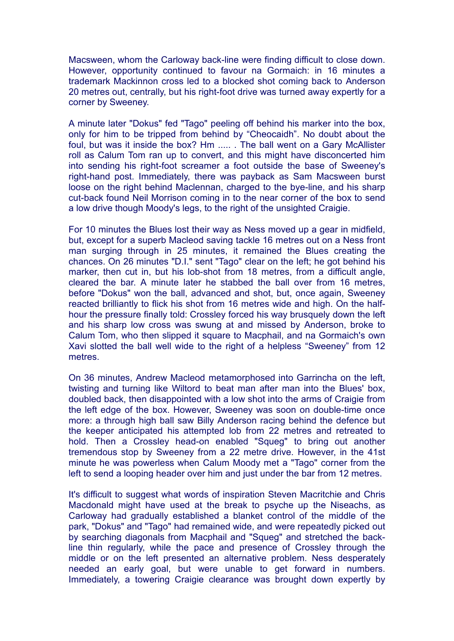Macsween, whom the Carloway back-line were finding difficult to close down. However, opportunity continued to favour na Gormaich: in 16 minutes a trademark Mackinnon cross led to a blocked shot coming back to Anderson 20 metres out, centrally, but his right-foot drive was turned away expertly for a corner by Sweeney.

A minute later "Dokus" fed "Tago" peeling off behind his marker into the box, only for him to be tripped from behind by "Cheocaidh". No doubt about the foul, but was it inside the box? Hm ..... . The ball went on a Gary McAllister roll as Calum Tom ran up to convert, and this might have disconcerted him into sending his right-foot screamer a foot outside the base of Sweeney's right-hand post. Immediately, there was payback as Sam Macsween burst loose on the right behind Maclennan, charged to the bye-line, and his sharp cut-back found Neil Morrison coming in to the near corner of the box to send a low drive though Moody's legs, to the right of the unsighted Craigie.

For 10 minutes the Blues lost their way as Ness moved up a gear in midfield, but, except for a superb Macleod saving tackle 16 metres out on a Ness front man surging through in 25 minutes, it remained the Blues creating the chances. On 26 minutes "D.I." sent "Tago" clear on the left; he got behind his marker, then cut in, but his lob-shot from 18 metres, from a difficult angle, cleared the bar. A minute later he stabbed the ball over from 16 metres, before "Dokus" won the ball, advanced and shot, but, once again, Sweeney reacted brilliantly to flick his shot from 16 metres wide and high. On the halfhour the pressure finally told: Crossley forced his way brusquely down the left and his sharp low cross was swung at and missed by Anderson, broke to Calum Tom, who then slipped it square to Macphail, and na Gormaich's own Xavi slotted the ball well wide to the right of a helpless "Sweeney" from 12 metres.

On 36 minutes, Andrew Macleod metamorphosed into Garrincha on the left, twisting and turning like Wiltord to beat man after man into the Blues' box, doubled back, then disappointed with a low shot into the arms of Craigie from the left edge of the box. However, Sweeney was soon on double-time once more: a through high ball saw Billy Anderson racing behind the defence but the keeper anticipated his attempted lob from 22 metres and retreated to hold. Then a Crossley head-on enabled "Squeg" to bring out another tremendous stop by Sweeney from a 22 metre drive. However, in the 41st minute he was powerless when Calum Moody met a "Tago" corner from the left to send a looping header over him and just under the bar from 12 metres.

It's difficult to suggest what words of inspiration Steven Macritchie and Chris Macdonald might have used at the break to psyche up the Niseachs, as Carloway had gradually established a blanket control of the middle of the park, "Dokus" and "Tago" had remained wide, and were repeatedly picked out by searching diagonals from Macphail and "Squeg" and stretched the backline thin regularly, while the pace and presence of Crossley through the middle or on the left presented an alternative problem. Ness desperately needed an early goal, but were unable to get forward in numbers. Immediately, a towering Craigie clearance was brought down expertly by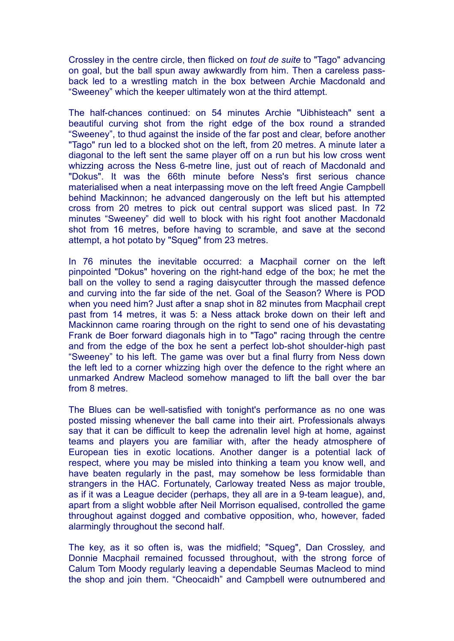Crossley in the centre circle, then flicked on *tout de suite* to "Tago" advancing on goal, but the ball spun away awkwardly from him. Then a careless passback led to a wrestling match in the box between Archie Macdonald and "Sweeney" which the keeper ultimately won at the third attempt.

The half-chances continued: on 54 minutes Archie "Uibhisteach" sent a beautiful curving shot from the right edge of the box round a stranded "Sweeney", to thud against the inside of the far post and clear, before another "Tago" run led to a blocked shot on the left, from 20 metres. A minute later a diagonal to the left sent the same player off on a run but his low cross went whizzing across the Ness 6-metre line, just out of reach of Macdonald and "Dokus". It was the 66th minute before Ness's first serious chance materialised when a neat interpassing move on the left freed Angie Campbell behind Mackinnon; he advanced dangerously on the left but his attempted cross from 20 metres to pick out central support was sliced past. In 72 minutes "Sweeney" did well to block with his right foot another Macdonald shot from 16 metres, before having to scramble, and save at the second attempt, a hot potato by "Squeg" from 23 metres.

In 76 minutes the inevitable occurred: a Macphail corner on the left pinpointed "Dokus" hovering on the right-hand edge of the box; he met the ball on the volley to send a raging daisycutter through the massed defence and curving into the far side of the net. Goal of the Season? Where is POD when you need him? Just after a snap shot in 82 minutes from Macphail crept past from 14 metres, it was 5: a Ness attack broke down on their left and Mackinnon came roaring through on the right to send one of his devastating Frank de Boer forward diagonals high in to "Tago" racing through the centre and from the edge of the box he sent a perfect lob-shot shoulder-high past "Sweeney" to his left. The game was over but a final flurry from Ness down the left led to a corner whizzing high over the defence to the right where an unmarked Andrew Macleod somehow managed to lift the ball over the bar from 8 metres.

The Blues can be well-satisfied with tonight's performance as no one was posted missing whenever the ball came into their airt. Professionals always say that it can be difficult to keep the adrenalin level high at home, against teams and players you are familiar with, after the heady atmosphere of European ties in exotic locations. Another danger is a potential lack of respect, where you may be misled into thinking a team you know well, and have beaten regularly in the past, may somehow be less formidable than strangers in the HAC. Fortunately, Carloway treated Ness as major trouble, as if it was a League decider (perhaps, they all are in a 9-team league), and, apart from a slight wobble after Neil Morrison equalised, controlled the game throughout against dogged and combative opposition, who, however, faded alarmingly throughout the second half.

The key, as it so often is, was the midfield; "Squeg", Dan Crossley, and Donnie Macphail remained focussed throughout, with the strong force of Calum Tom Moody regularly leaving a dependable Seumas Macleod to mind the shop and join them. "Cheocaidh" and Campbell were outnumbered and